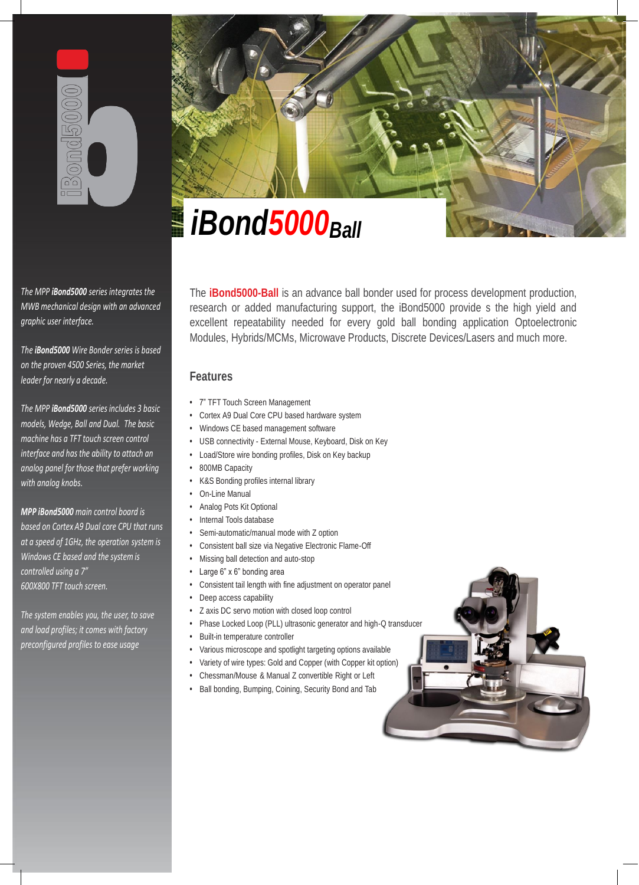

*The MPP iBond5000 series integrates the MWB mechanical design with an advanced graphic user interface.*

*The iBond5000 Wire Bonder series is based on the proven 4500 Series, the market leader for nearly a decade.*

*The MPP iBond5000 series includes 3 basic models, Wedge, Ball and Dual. The basic machine has a TFT touch screen control interface and has the ability to attach an analog panel for those that prefer working with analog knobs.*

*MPP iBond5000 main control board is based on Cortex A9 Dual core CPU that runs at a speed of 1GHz, the operation system is Windows CE based and the system is controlled using a 7" 600X800 TFT touch screen.*

*The system enables you, the user, to save and load profiles; it comes with factory preconfigured profiles to ease usage*



The **iBond5000-Ball** is an advance ball bonder used for process development production, research or added manufacturing support, the iBond5000 provide s the high yield and excellent repeatability needed for every gold ball bonding application Optoelectronic Modules, Hybrids/MCMs, Microwave Products, Discrete Devices/Lasers and much more.

# **Features**

- 7" TFT Touch Screen Management
- Cortex A9 Dual Core CPU based hardware system
- Windows CE based management software
- USB connectivity External Mouse, Keyboard, Disk on Key
- Load/Store wire bonding profiles, Disk on Key backup
- 800MB Capacity
- K&S Bonding profiles internal library
- On-Line Manual
- Analog Pots Kit Optional
- Internal Tools database
- Semi-automatic/manual mode with Z option
- **•** Consistent ball size via Negative Electronic Flame-Off
- Missing ball detection and auto-stop
- Large 6" x 6" bonding area
- Consistent tail length with fine adjustment on operator panel
- Deep access capability
- Z axis DC servo motion with closed loop control
- Phase Locked Loop (PLL) ultrasonic generator and high-Q transducer
- Built-in temperature controller
- Various microscope and spotlight targeting options available
- Variety of wire types: Gold and Copper (with Copper kit option)
- Chessman/Mouse & Manual Z convertible Right or Left
- Ball bonding, Bumping, Coining, Security Bond and Tab